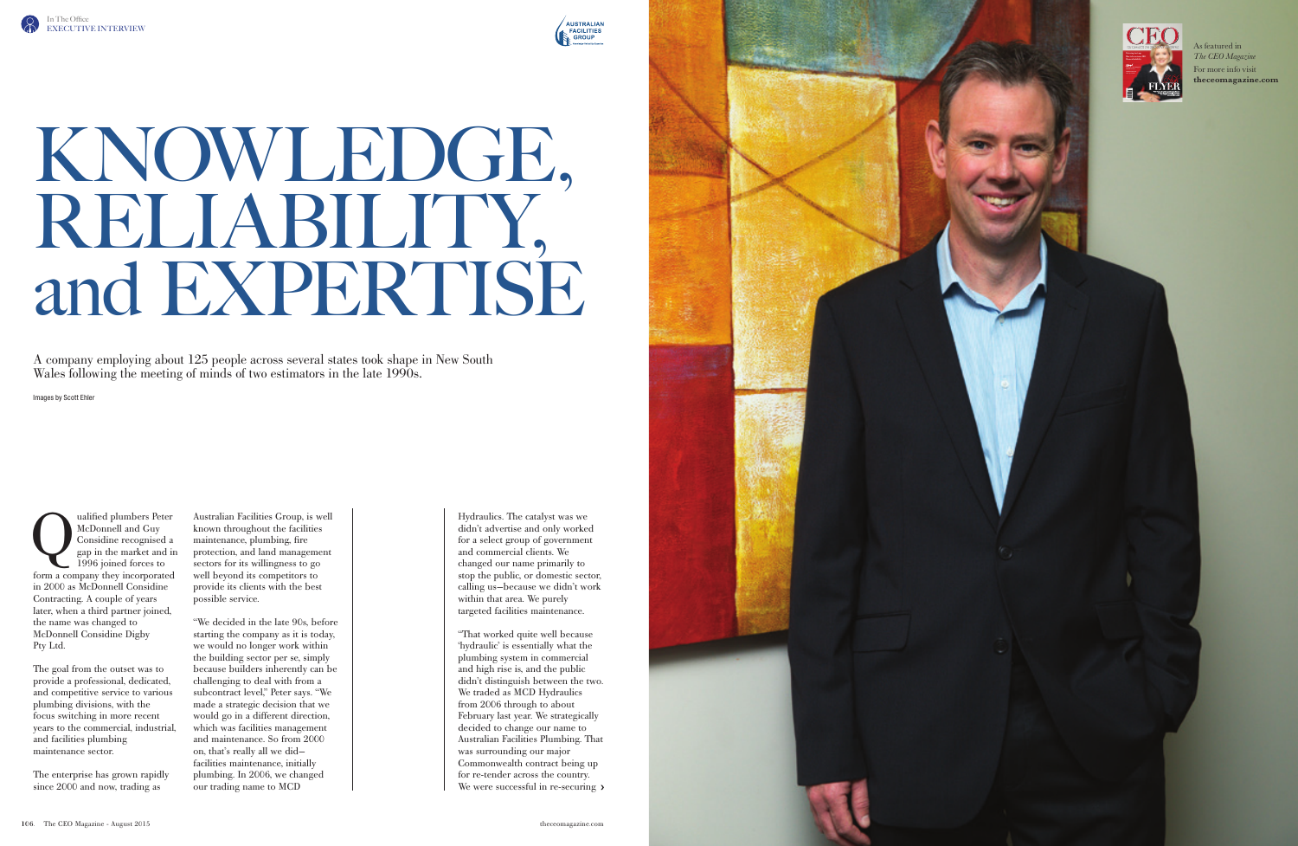

## KNOWLEDGE, RELIABILITY, and EXPERTISE

A company employing about 125 people across several states took shape in New South Wales following the meeting of minds of two estimators in the late 1990s.

Images by Scott Ehler

valified plumbers Peter<br>McDonnell and Guy<br>Considine recognised a<br>gap in the market and in<br>1996 joined forces to McDonnell and Guy Considine recognised a gap in the market and in 1996 joined forces to form a company they incorporated in 2000 as McDonnell Considine Contracting. A couple of years later, when a third partner joined, the name was changed to McDonnell Considine Digby Pty Ltd.

The goal from the outset was to provide a professional, dedicated, and competitive service to various plumbing divisions, with the focus switching in more recent years to the commercial, industrial, and facilities plumbing maintenance sector.

The enterprise has grown rapidly since 2000 and now, trading as

"That worked quite well because 'hydraulic' is essentially what the plumbing system in commercial and high rise is, and the public didn't distinguish between the two. We traded as MCD Hydraulics from 2006 through to about February last year. We strategically decided to change our name to Australian Facilities Plumbing. That was surrounding our major Commonwealth contract being up for re-tender across the country. We were successful in re-securing  $\lambda$ 

Australian Facilities Group, is well known throughout the facilities maintenance, plumbing, fire protection, and land management sectors for its willingness to go well beyond its competitors to provide its clients with the best possible service.

"We decided in the late 90s, before starting the company as it is today, we would no longer work within the building sector per se, simply because builders inherently can be challenging to deal with from a subcontract level," Peter says. "We made a strategic decision that we would go in a different direction, which was facilities management and maintenance. So from 2000 on, that's really all we did facilities maintenance, initially plumbing. In 2006, we changed our trading name to MCD

Hydraulics. The catalyst was we didn't advertise and only worked for a select group of government and commercial clients. We changed our name primarily to stop the public, or domestic sector, calling us—because we didn't work within that area. We purely targeted facilities maintenance.

As featured in *The CEO Magazine* For more info visit **<theceomagazine.com>**